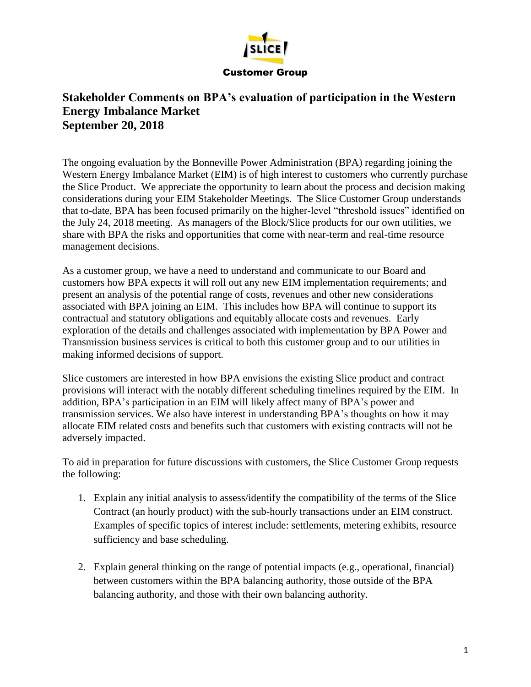

## **Stakeholder Comments on BPA's evaluation of participation in the Western Energy Imbalance Market September 20, 2018**

The ongoing evaluation by the Bonneville Power Administration (BPA) regarding joining the Western Energy Imbalance Market (EIM) is of high interest to customers who currently purchase the Slice Product. We appreciate the opportunity to learn about the process and decision making considerations during your EIM Stakeholder Meetings. The Slice Customer Group understands that to-date, BPA has been focused primarily on the higher-level "threshold issues" identified on the July 24, 2018 meeting. As managers of the Block/Slice products for our own utilities, we share with BPA the risks and opportunities that come with near-term and real-time resource management decisions.

As a customer group, we have a need to understand and communicate to our Board and customers how BPA expects it will roll out any new EIM implementation requirements; and present an analysis of the potential range of costs, revenues and other new considerations associated with BPA joining an EIM. This includes how BPA will continue to support its contractual and statutory obligations and equitably allocate costs and revenues. Early exploration of the details and challenges associated with implementation by BPA Power and Transmission business services is critical to both this customer group and to our utilities in making informed decisions of support.

Slice customers are interested in how BPA envisions the existing Slice product and contract provisions will interact with the notably different scheduling timelines required by the EIM. In addition, BPA's participation in an EIM will likely affect many of BPA's power and transmission services. We also have interest in understanding BPA's thoughts on how it may allocate EIM related costs and benefits such that customers with existing contracts will not be adversely impacted.

To aid in preparation for future discussions with customers, the Slice Customer Group requests the following:

- 1. Explain any initial analysis to assess/identify the compatibility of the terms of the Slice Contract (an hourly product) with the sub-hourly transactions under an EIM construct. Examples of specific topics of interest include: settlements, metering exhibits, resource sufficiency and base scheduling.
- 2. Explain general thinking on the range of potential impacts (e.g., operational, financial) between customers within the BPA balancing authority, those outside of the BPA balancing authority, and those with their own balancing authority.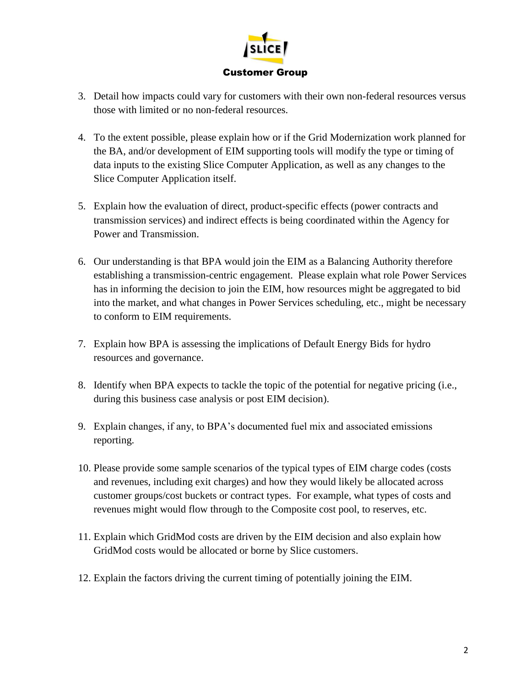

- 3. Detail how impacts could vary for customers with their own non-federal resources versus those with limited or no non-federal resources.
- 4. To the extent possible, please explain how or if the Grid Modernization work planned for the BA, and/or development of EIM supporting tools will modify the type or timing of data inputs to the existing Slice Computer Application, as well as any changes to the Slice Computer Application itself.
- 5. Explain how the evaluation of direct, product-specific effects (power contracts and transmission services) and indirect effects is being coordinated within the Agency for Power and Transmission.
- 6. Our understanding is that BPA would join the EIM as a Balancing Authority therefore establishing a transmission-centric engagement. Please explain what role Power Services has in informing the decision to join the EIM, how resources might be aggregated to bid into the market, and what changes in Power Services scheduling, etc., might be necessary to conform to EIM requirements.
- 7. Explain how BPA is assessing the implications of Default Energy Bids for hydro resources and governance.
- 8. Identify when BPA expects to tackle the topic of the potential for negative pricing (i.e., during this business case analysis or post EIM decision).
- 9. Explain changes, if any, to BPA's documented fuel mix and associated emissions reporting.
- 10. Please provide some sample scenarios of the typical types of EIM charge codes (costs and revenues, including exit charges) and how they would likely be allocated across customer groups/cost buckets or contract types. For example, what types of costs and revenues might would flow through to the Composite cost pool, to reserves, etc.
- 11. Explain which GridMod costs are driven by the EIM decision and also explain how GridMod costs would be allocated or borne by Slice customers.
- 12. Explain the factors driving the current timing of potentially joining the EIM.